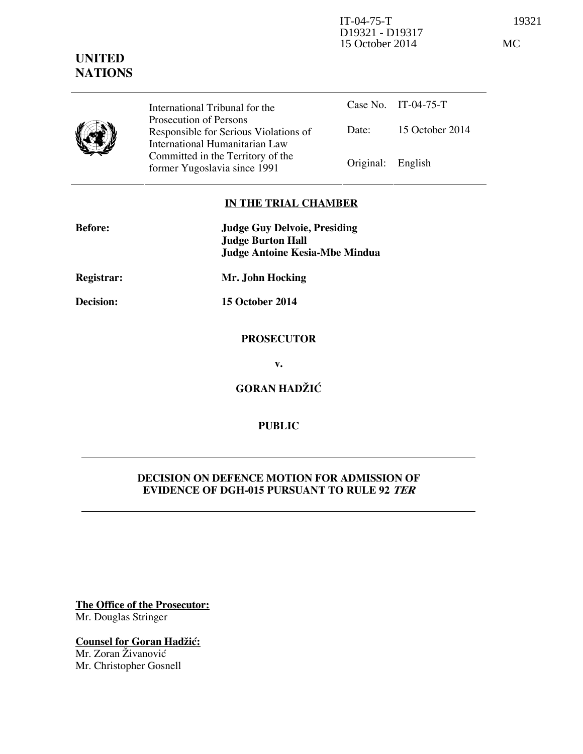

International Tribunal for the Prosecution of Persons Responsible for Serious Violations of International Humanitarian Law Committed in the Territory of the Former Yugoslavia since 1991 Original: English

Case No. IT-04-75-T Date: 15 October 2014

### **IN THE TRIAL CHAMBER**

| <b>Before:</b> | <b>Judge Guy Delvoie, Presiding</b><br><b>Judge Burton Hall</b> |
|----------------|-----------------------------------------------------------------|
|                | <b>Judge Antoine Kesia-Mbe Mindua</b>                           |
| Registrar:     | Mr. John Hocking                                                |
| Decision:      | 15 October 2014                                                 |
|                | <b>PROSECUTOR</b>                                               |
|                | v.                                                              |
|                | <b>GORAN HADŽIĆ</b>                                             |

# **PUBLIC**

## **DECISION ON DEFENCE MOTION FOR ADMISSION OF EVIDENCE OF DGH-015 PURSUANT TO RULE 92 TER**

**The Office of the Prosecutor:** Mr. Douglas Stringer

**Counsel for Goran Hadžić:** Mr. Zoran Živanović Mr. Christopher Gosnell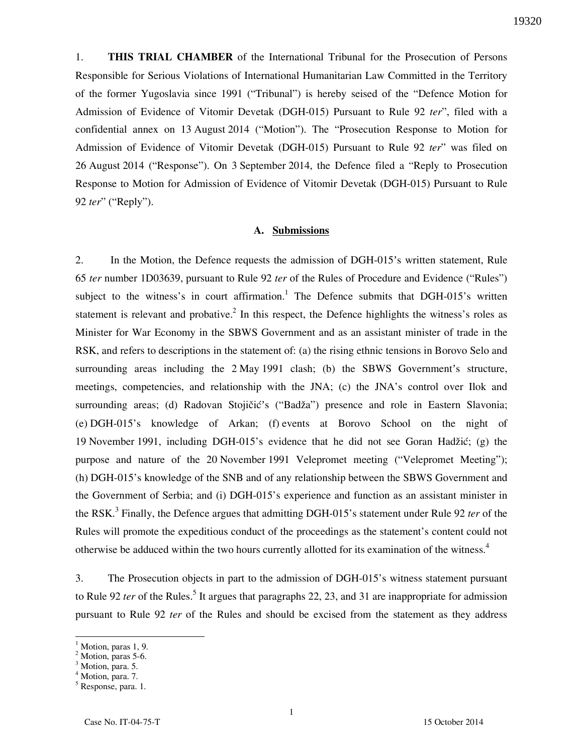1. **THIS TRIAL CHAMBER** of the International Tribunal for the Prosecution of Persons Responsible for Serious Violations of International Humanitarian Law Committed in the Territory of the former Yugoslavia since 1991 ("Tribunal") is hereby seised of the "Defence Motion for Admission of Evidence of Vitomir Devetak (DGH-015) Pursuant to Rule 92 *ter*", filed with a confidential annex on 13 August 2014 ("Motion"). The "Prosecution Response to Motion for Admission of Evidence of Vitomir Devetak (DGH-015) Pursuant to Rule 92 *ter*" was filed on 26 August 2014 ("Response"). On 3 September 2014, the Defence filed a "Reply to Prosecution Response to Motion for Admission of Evidence of Vitomir Devetak (DGH-015) Pursuant to Rule 92 *ter*" ("Reply").

#### **A. Submissions**

2. In the Motion, the Defence requests the admission of DGH-015's written statement, Rule 65 *ter* number 1D03639, pursuant to Rule 92 *ter* of the Rules of Procedure and Evidence ("Rules") subject to the witness's in court affirmation.<sup>1</sup> The Defence submits that DGH-015's written statement is relevant and probative.<sup>2</sup> In this respect, the Defence highlights the witness's roles as Minister for War Economy in the SBWS Government and as an assistant minister of trade in the RSK, and refers to descriptions in the statement of: (a) the rising ethnic tensions in Borovo Selo and surrounding areas including the 2 May 1991 clash; (b) the SBWS Government's structure, meetings, competencies, and relationship with the JNA; (c) the JNA's control over Ilok and surrounding areas; (d) Radovan Stojičić's ("Badža") presence and role in Eastern Slavonia; (e) DGH-015's knowledge of Arkan; (f) events at Borovo School on the night of 19 November 1991, including DGH-015's evidence that he did not see Goran Hadžić; (g) the purpose and nature of the 20 November 1991 Velepromet meeting ("Velepromet Meeting"); (h) DGH-015's knowledge of the SNB and of any relationship between the SBWS Government and the Government of Serbia; and (i) DGH-015's experience and function as an assistant minister in the RSK.<sup>3</sup> Finally, the Defence argues that admitting DGH-015's statement under Rule 92 *ter* of the Rules will promote the expeditious conduct of the proceedings as the statement's content could not otherwise be adduced within the two hours currently allotted for its examination of the witness.<sup>4</sup>

3. The Prosecution objects in part to the admission of DGH-015's witness statement pursuant to Rule 92 *ter* of the Rules.<sup>5</sup> It argues that paragraphs 22, 23, and 31 are inappropriate for admission pursuant to Rule 92 *ter* of the Rules and should be excised from the statement as they address

<sup>1</sup> Motion, paras 1, 9.

<sup>&</sup>lt;sup>2</sup> Motion, paras 5-6.

<sup>&</sup>lt;sup>3</sup> Motion, para. 5.

<sup>&</sup>lt;sup>4</sup> Motion, para. 7.

<sup>5</sup> Response, para. 1.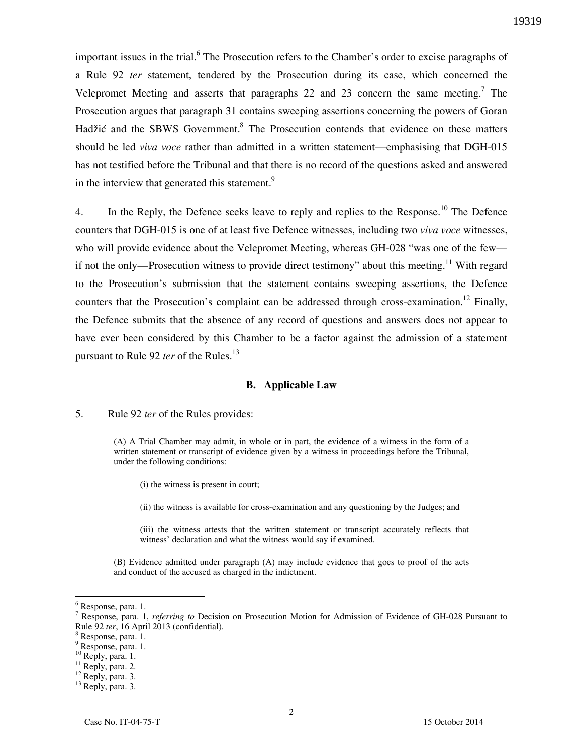important issues in the trial.<sup>6</sup> The Prosecution refers to the Chamber's order to excise paragraphs of a Rule 92 *ter* statement, tendered by the Prosecution during its case, which concerned the Velepromet Meeting and asserts that paragraphs 22 and 23 concern the same meeting.<sup>7</sup> The Prosecution argues that paragraph 31 contains sweeping assertions concerning the powers of Goran Hadžić and the SBWS Government.<sup>8</sup> The Prosecution contends that evidence on these matters should be led *viva voce* rather than admitted in a written statement—emphasising that DGH-015 has not testified before the Tribunal and that there is no record of the questions asked and answered in the interview that generated this statement.<sup>9</sup>

4. In the Reply, the Defence seeks leave to reply and replies to the Response.<sup>10</sup> The Defence counters that DGH-015 is one of at least five Defence witnesses, including two *viva voce* witnesses, who will provide evidence about the Velepromet Meeting, whereas GH-028 "was one of the few if not the only—Prosecution witness to provide direct testimony" about this meeting.<sup>11</sup> With regard to the Prosecution's submission that the statement contains sweeping assertions, the Defence counters that the Prosecution's complaint can be addressed through cross-examination.<sup>12</sup> Finally, the Defence submits that the absence of any record of questions and answers does not appear to have ever been considered by this Chamber to be a factor against the admission of a statement pursuant to Rule 92 *ter* of the Rules.<sup>13</sup>

#### **B. Applicable Law**

5. Rule 92 *ter* of the Rules provides:

(A) A Trial Chamber may admit, in whole or in part, the evidence of a witness in the form of a written statement or transcript of evidence given by a witness in proceedings before the Tribunal, under the following conditions:

(i) the witness is present in court;

(ii) the witness is available for cross-examination and any questioning by the Judges; and

(iii) the witness attests that the written statement or transcript accurately reflects that witness' declaration and what the witness would say if examined.

(B) Evidence admitted under paragraph (A) may include evidence that goes to proof of the acts and conduct of the accused as charged in the indictment.

 $\overline{a}$ 

 $11$  Reply, para. 2.

<sup>6</sup> Response, para. 1.

<sup>7</sup> Response, para. 1, *referring to* Decision on Prosecution Motion for Admission of Evidence of GH-028 Pursuant to Rule 92 *ter*, 16 April 2013 (confidential).

<sup>8</sup> Response, para. 1.

<sup>&</sup>lt;sup>9</sup> Response, para. 1.

 $^{10}$  Reply, para. 1.

<sup>&</sup>lt;sup>12</sup> Reply, para. 3.

<sup>&</sup>lt;sup>13</sup> Reply, para. 3.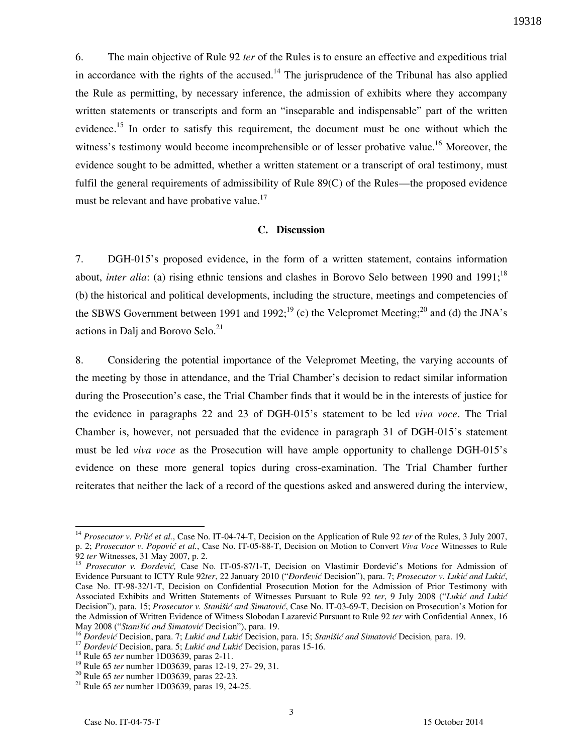6. The main objective of Rule 92 *ter* of the Rules is to ensure an effective and expeditious trial in accordance with the rights of the accused.<sup>14</sup> The jurisprudence of the Tribunal has also applied the Rule as permitting, by necessary inference, the admission of exhibits where they accompany written statements or transcripts and form an "inseparable and indispensable" part of the written evidence.<sup>15</sup> In order to satisfy this requirement, the document must be one without which the witness's testimony would become incomprehensible or of lesser probative value.<sup>16</sup> Moreover, the evidence sought to be admitted, whether a written statement or a transcript of oral testimony, must fulfil the general requirements of admissibility of Rule 89(C) of the Rules—the proposed evidence must be relevant and have probative value.<sup>17</sup>

### **C. Discussion**

7. DGH-015's proposed evidence, in the form of a written statement, contains information about, *inter alia*: (a) rising ethnic tensions and clashes in Borovo Selo between 1990 and 1991;<sup>18</sup> (b) the historical and political developments, including the structure, meetings and competencies of the SBWS Government between 1991 and 1992;<sup>19</sup> (c) the Velepromet Meeting;<sup>20</sup> and (d) the JNA's actions in Dalj and Borovo Selo. $21$ 

8. Considering the potential importance of the Velepromet Meeting, the varying accounts of the meeting by those in attendance, and the Trial Chamber's decision to redact similar information during the Prosecution's case, the Trial Chamber finds that it would be in the interests of justice for the evidence in paragraphs 22 and 23 of DGH-015's statement to be led *viva voce*. The Trial Chamber is, however, not persuaded that the evidence in paragraph 31 of DGH-015's statement must be led *viva voce* as the Prosecution will have ample opportunity to challenge DGH-015's evidence on these more general topics during cross-examination. The Trial Chamber further reiterates that neither the lack of a record of the questions asked and answered during the interview,

 $\overline{a}$ 

<sup>&</sup>lt;sup>14</sup> Prosecutor v. Prlić et al., Case No. IT-04-74-T, Decision on the Application of Rule 92 *ter* of the Rules, 3 July 2007, p. 2; *Prosecutor v. Popovi} et al.*, Case No. IT-05-88-T, Decision on Motion to Convert *Viva Voce* Witnesses to Rule 92 *ter* Witnesses, 31 May 2007, p. 2.

<sup>&</sup>lt;sup>15</sup> Prosecutor v. Đorđević, Case No. IT-05-87/1-T, Decision on Vlastimir Đorđević's Motions for Admission of Evidence Pursuant to ICTY Rule 92ter, 22 January 2010 ("*Đorđević* Decision"), para. 7; Prosecutor v. Lukić and Lukić, Case No. IT-98-32/1-T, Decision on Confidential Prosecution Motion for the Admission of Prior Testimony with Associated Exhibits and Written Statements of Witnesses Pursuant to Rule 92 ter, 9 July 2008 ("Lukić and Lukić Decision"), para. 15; *Prosecutor v. Stanišić and Simatović*, Case No. IT-03-69-T, Decision on Prosecution's Motion for the Admission of Written Evidence of Witness Slobodan Lazarevic Pursuant to Rule 92 *ter* with Confidential Annex, 16 May 2008 ("Stanišić and Simatović Decision"), para. 19.

<sup>&</sup>lt;sup>16</sup> *Đorđević* Decision, para. 7; *Lukić and Lukić* Decision, para. 15; *Stanišić and Simatović* Decision, para. 19.

<sup>&</sup>lt;sup>17</sup> *Bordević* Decision, para. 5; *Lukić and Lukić* Decision, paras 15-16.

<sup>&</sup>lt;sup>18</sup> Rule 65 *ter* number 1D03639, paras 2-11.

<sup>19</sup> Rule 65 *ter* number 1D03639, paras 12-19, 27- 29, 31.

<sup>20</sup> Rule 65 *ter* number 1D03639, paras 22-23.

<sup>21</sup> Rule 65 *ter* number 1D03639, paras 19, 24-25.